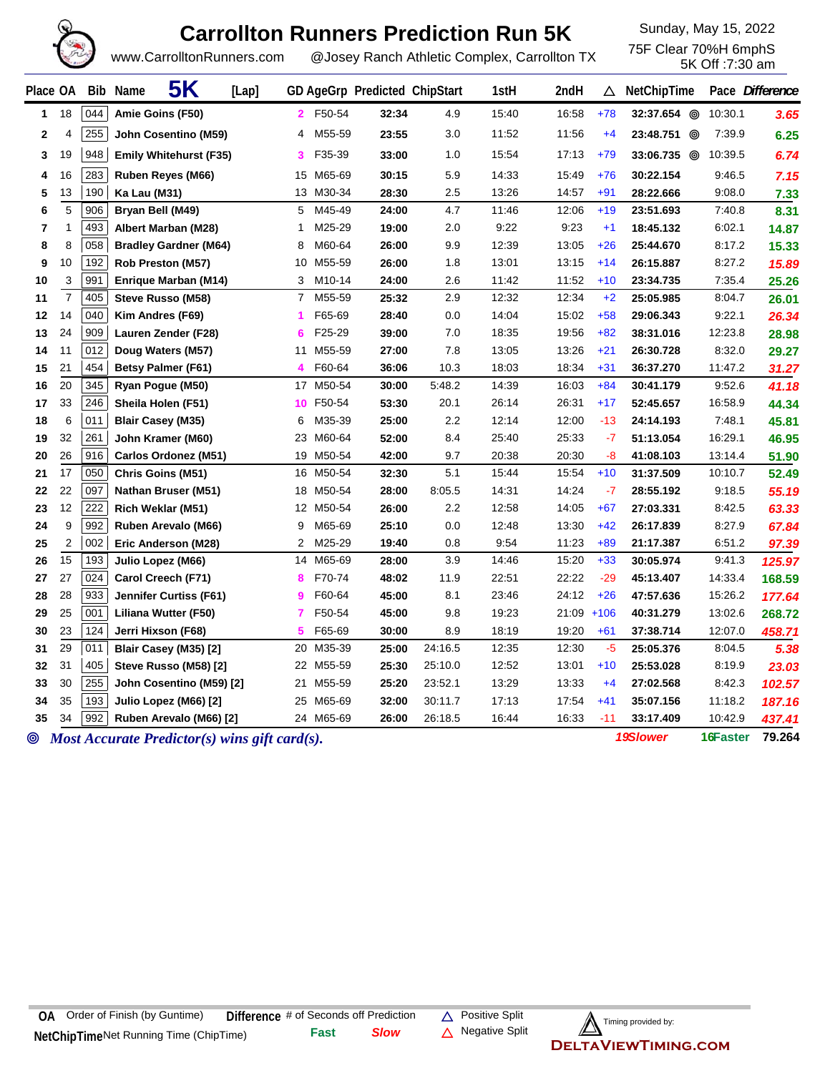

## **Carrollton Runners Prediction Run 5K** Sunday, May 15, 2022

5K Off :7:30 am

www.CarrolltonRunners.com @Josey Ranch Athletic Complex, Carrollton TX

| Place OA |                         |            | <b>5K</b><br>Bib Name<br>[Lap]                    |                |                        | GD AgeGrp Predicted ChipStart |                    | 1stH           | 2ndH           | Δ             | NetChipTime            |                  | Pace Difference |
|----------|-------------------------|------------|---------------------------------------------------|----------------|------------------------|-------------------------------|--------------------|----------------|----------------|---------------|------------------------|------------------|-----------------|
| 1        | 18                      | 044        | Amie Goins (F50)                                  | 2.             | F50-54                 | 32:34                         | 4.9                | 15:40          | 16:58          | $+78$         | 32:37.654 <sup>©</sup> | 10:30.1          | 3.65            |
| 2        | 4                       | 255        | John Cosentino (M59)                              | 4              | M55-59                 | 23:55                         | 3.0                | 11:52          | 11:56          | $+4$          | 23:48.751 @            | 7:39.9           | 6.25            |
| 3        | 19                      | 948        | <b>Emily Whitehurst (F35)</b>                     | 3              | F35-39                 | 33:00                         | 1.0                | 15:54          | 17:13          | $+79$         | 33:06.735 <sup>6</sup> | 10:39.5          | 6.74            |
| 4        | 16                      | 283        | Ruben Reyes (M66)                                 | 15             | M65-69                 | 30:15                         | 5.9                | 14:33          | 15:49          | $+76$         | 30:22.154              | 9:46.5           | 7.15            |
| 5        | 13                      | 190        | Ka Lau (M31)                                      |                | 13 M30-34              | 28:30                         | 2.5                | 13:26          | 14:57          | $+91$         | 28:22.666              | 9:08.0           | 7.33            |
| 6        | 5                       | 906        | Bryan Bell (M49)                                  | 5              | M45-49                 | 24:00                         | 4.7                | 11:46          | 12:06          | $+19$         | 23:51.693              | 7:40.8           | 8.31            |
| 7        | 1                       | 493        | Albert Marban (M28)                               | 1              | M25-29                 | 19:00                         | 2.0                | 9:22           | 9:23           | $+1$          | 18:45.132              | 6:02.1           | 14.87           |
| 8        | 8                       | 058        | <b>Bradley Gardner (M64)</b>                      | 8              | M60-64                 | 26:00                         | 9.9                | 12:39          | 13:05          | $+26$         | 25:44.670              | 8:17.2           | 15.33           |
| 9        | 10                      | 192        | Rob Preston (M57)                                 | 10             | M55-59                 | 26:00                         | 1.8                | 13:01          | 13:15          | $+14$         | 26:15.887              | 8:27.2           | 15.89           |
| 10       | 3                       | 991        | Enrique Marban (M14)                              | 3              | M10-14                 | 24:00                         | 2.6                | 11:42          | 11:52          | $+10$         | 23:34.735              | 7:35.4           | 25.26           |
| 11       | $\overline{7}$          | 405        | Steve Russo (M58)                                 | $\overline{7}$ | M55-59                 | 25:32                         | 2.9                | 12:32          | 12:34          | $+2$          | 25:05.985              | 8:04.7           | 26.01           |
| 12       | 14                      | 040        | Kim Andres (F69)                                  | 1              | F65-69                 | 28:40                         | 0.0                | 14:04          | 15:02          | $+58$         | 29:06.343              | 9:22.1           | 26.34           |
| 13       | 24                      | 909        | Lauren Zender (F28)                               | 6              | F25-29                 | 39:00                         | 7.0                | 18:35          | 19:56          | $+82$         | 38:31.016              | 12:23.8          | 28.98           |
| 14       | 11                      | 012        | Doug Waters (M57)                                 | 11             | M55-59                 | 27:00                         | 7.8                | 13:05          | 13:26          | $+21$         | 26:30.728              | 8:32.0           | 29.27           |
| 15       | 21                      | 454        | <b>Betsy Palmer (F61)</b>                         | 4              | F60-64                 | 36:06                         | 10.3               | 18:03          | 18:34          | $+31$         | 36:37.270              | 11:47.2          | 31.27           |
| 16       | 20                      | 345        | Ryan Pogue (M50)                                  |                | 17 M50-54              | 30:00                         | 5:48.2             | 14:39          | 16:03          | $+84$         | 30:41.179              | 9:52.6           | 41.18           |
| 17       | 33                      | 246        | Sheila Holen (F51)                                |                | 10 F50-54              | 53:30                         | 20.1               | 26:14          | 26:31          | $+17$         | 52:45.657              | 16:58.9          | 44.34           |
| 18       | 6                       | 011        | <b>Blair Casey (M35)</b>                          | 6              | M35-39                 | 25:00                         | 2.2                | 12:14          | 12:00          | $-13$         | 24:14.193              | 7:48.1           | 45.81           |
| 19       | 32                      | 261        | John Kramer (M60)                                 | 23             | M60-64                 | 52:00                         | 8.4                | 25:40          | 25:33          | $-7$          | 51:13.054              | 16:29.1          | 46.95           |
| 20       | 26                      | 916        | Carlos Ordonez (M51)                              |                | 19 M50-54              | 42:00                         | 9.7                | 20:38          | 20:30          | -8            | 41:08.103              | 13:14.4          | 51.90           |
| 21       | 17                      | 050        | <b>Chris Goins (M51)</b>                          |                | 16 M50-54              | 32:30                         | 5.1                | 15:44          | 15:54          | $+10$         | 31:37.509              | 10:10.7          | 52.49           |
| 22       | 22                      | 097        | Nathan Bruser (M51)                               |                | 18 M50-54              | 28:00                         | 8:05.5             | 14:31          | 14:24          | $-7$          | 28:55.192              | 9:18.5           | 55.19           |
| 23       | 12                      | 222        | Rich Weklar (M51)                                 |                | 12 M50-54              | 26:00                         | 2.2                | 12:58          | 14:05          | $+67$         | 27:03.331              | 8:42.5           | 63.33           |
| 24       | 9                       | 992        | Ruben Arevalo (M66)                               | 9              | M65-69                 | 25:10                         | 0.0                | 12:48          | 13:30          | $+42$         | 26:17.839              | 8:27.9           | 67.84           |
| 25       | $\overline{\mathbf{c}}$ | 002        | Eric Anderson (M28)                               | 2              | M25-29                 | 19:40                         | 0.8                | 9:54           | 11:23          | $+89$         | 21:17.387              | 6:51.2           | 97.39           |
| 26       | 15                      | 193        | Julio Lopez (M66)                                 |                | 14 M65-69              | 28:00                         | 3.9                | 14:46          | 15:20          | $+33$         | 30:05.974              | 9:41.3           | 125.97          |
| 27       | 27                      | 024        | Carol Creech (F71)                                | 8              | F70-74                 | 48:02                         | 11.9               | 22:51          | 22:22          | $-29$         | 45:13.407              | 14:33.4          | 168.59          |
| 28       | 28                      | 933        | Jennifer Curtiss (F61)                            | 9              | F60-64                 | 45:00                         | 8.1                | 23:46          | 24:12          | $+26$         | 47:57.636              | 15:26.2          | 177.64          |
| 29       | 25                      | 001        | Liliana Wutter (F50)                              | 7              | F50-54                 | 45:00                         | 9.8                | 19:23          | $21:09$ +106   |               | 40:31.279              | 13:02.6          | 268.72          |
| 30<br>31 | 23<br>29                | 124<br>011 | Jerri Hixson (F68)                                | 5              | F65-69                 | 30:00                         | 8.9                | 18:19          | 19:20          | $+61$<br>$-5$ | 37:38.714              | 12:07.0          | 458.71          |
|          |                         | 405        | Blair Casey (M35) [2]                             | 20             | M35-39                 | 25:00                         | 24:16.5            | 12:35          | 12:30          |               | 25:05.376              | 8:04.5           | 5.38            |
| 32<br>33 | 31<br>30                | 255        | Steve Russo (M58) [2]<br>John Cosentino (M59) [2] |                | 22 M55-59<br>21 M55-59 | 25:30<br>25:20                | 25:10.0<br>23:52.1 | 12:52<br>13:29 | 13:01<br>13:33 | $+10$<br>$+4$ | 25:53.028<br>27:02.568 | 8:19.9<br>8:42.3 | 23.03           |
| 34       | 35                      | 193        | Julio Lopez (M66) [2]                             |                | 25 M65-69              | 32:00                         | 30:11.7            | 17:13          | 17:54          | $+41$         | 35:07.156              | 11:18.2          | 102.57          |
| 35       | 34                      | 992        | Ruben Arevalo (M66) [2]                           |                | 24 M65-69              | 26:00                         | 26:18.5            | 16:44          | 16:33          | $-11$         | 33:17.409              | 10:42.9          | 187.16          |
|          |                         |            |                                                   |                |                        |                               |                    |                |                |               |                        |                  | 437.41          |

*Most Accurate Predictor(s) wins gift card(s). 19Slower* **16Faster 79.264**